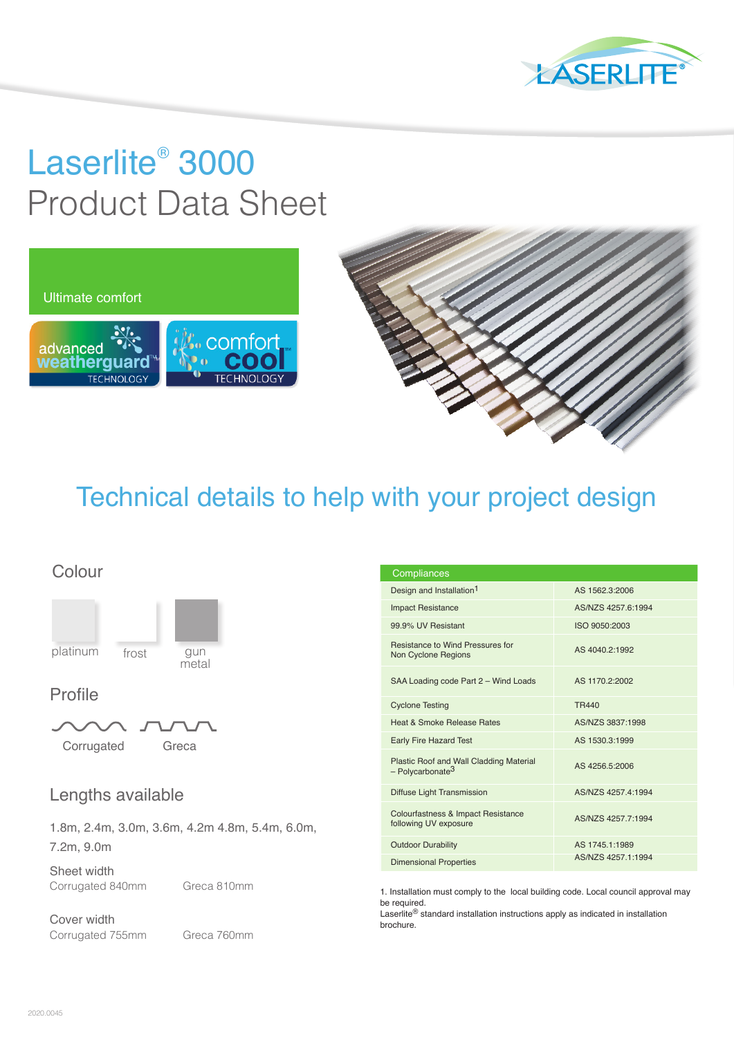

# Laserlite® 3000 Product Data Sheet





## Technical details to help with your project design

### Colour



### Profile



## Lengths available

1.8m, 2.4m, 3.0m, 3.6m, 4.2m 4.8m, 5.4m, 6.0m, 7.2m, 9.0m

Sheet width Corrugated 840mm Greca 810mm

Cover width Corrugated 755mm Greca 760mm

| Compliances                                                               |                    |
|---------------------------------------------------------------------------|--------------------|
| Design and Installation <sup>1</sup>                                      | AS 1562.3:2006     |
| <b>Impact Resistance</b>                                                  | AS/NZS 4257.6:1994 |
| 99.9% UV Resistant                                                        | ISO 9050:2003      |
| Resistance to Wind Pressures for<br>Non Cyclone Regions                   | AS 4040.2:1992     |
| SAA Loading code Part 2 - Wind Loads                                      | AS 1170.2:2002     |
| <b>Cyclone Testing</b>                                                    | <b>TR440</b>       |
| Heat & Smoke Release Rates                                                | AS/NZS 3837:1998   |
| <b>Early Fire Hazard Test</b>                                             | AS 1530.3:1999     |
| Plastic Roof and Wall Cladding Material<br>$-$ Polycarbonate <sup>3</sup> | AS 4256.5:2006     |
| Diffuse Light Transmission                                                | AS/NZS 4257.4:1994 |
| Colourfastness & Impact Resistance<br>following UV exposure               | AS/NZS 4257.7:1994 |
| <b>Outdoor Durability</b>                                                 | AS 1745.1:1989     |
| <b>Dimensional Properties</b>                                             | AS/NZS 4257.1:1994 |

1. Installation must comply to the local building code. Local council approval may be required.

Laserlite® standard installation instructions apply as indicated in installation brochure.